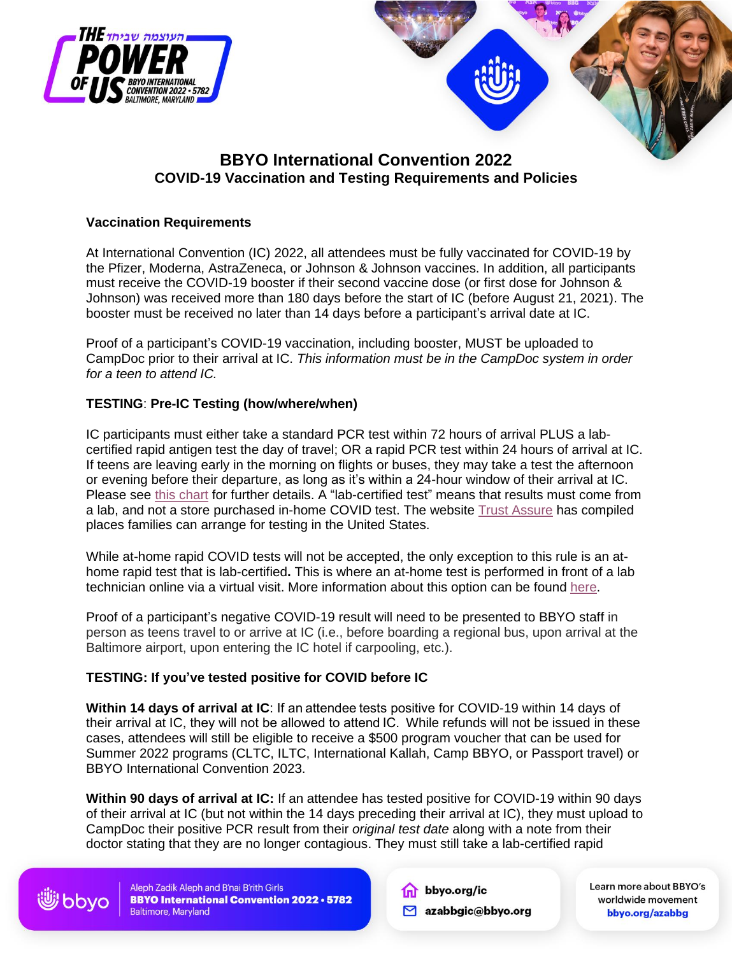

# **BBYO International Convention 2022 COVID-19 Vaccination and Testing Requirements and Policies**

# **Vaccination Requirements**

At International Convention (IC) 2022, all attendees must be fully vaccinated for COVID-19 by the Pfizer, Moderna, AstraZeneca, or Johnson & Johnson vaccines. In addition, all participants must receive the COVID-19 booster if their second vaccine dose (or first dose for Johnson & Johnson) was received more than 180 days before the start of IC (before August 21, 2021). The booster must be received no later than 14 days before a participant's arrival date at IC.

Proof of a participant's COVID-19 vaccination, including booster, MUST be uploaded to CampDoc prior to their arrival at IC. *This information must be in the CampDoc system in order for a teen to attend IC.*

# **TESTING**: **Pre-IC Testing (how/where/when)**

IC participants must either take a standard PCR test within 72 hours of arrival PLUS a labcertified rapid antigen test the day of travel; OR a rapid PCR test within 24 hours of arrival at IC. If teens are leaving early in the morning on flights or buses, they may take a test the afternoon or evening before their departure, as long as it's within a 24-hour window of their arrival at IC. Please see [this chart](https://drive.google.com/file/d/1IL_QeN73ZOdjanYbrp6ylD9Sr9QImNRu/view?usp=sharing) for further details. A "lab-certified test" means that results must come from a lab, and not a store purchased in-home COVID test. The website **[Trust Assure](https://united.trustassure.app/)** has compiled places families can arrange for testing in the United States.

While at-home rapid COVID tests will not be accepted, the only exception to this rule is an athome rapid test that is lab-certified**.** This is where an at-home test is performed in front of a lab technician online via a virtual visit. More information about this option can be found [here.](https://www.emed.com/products/covid-at-home-testkit-six-pack?hsLand=en)

Proof of a participant's negative COVID-19 result will need to be presented to BBYO staff in person as teens travel to or arrive at IC (i.e., before boarding a regional bus, upon arrival at the Baltimore airport, upon entering the IC hotel if carpooling, etc.).

### **TESTING: If you've tested positive for COVID before IC**

**Within 14 days of arrival at IC**: If an attendee tests positive for COVID-19 within 14 days of their arrival at IC, they will not be allowed to attend IC. While refunds will not be issued in these cases, attendees will still be eligible to receive a \$500 program voucher that can be used for Summer 2022 programs (CLTC, ILTC, International Kallah, Camp BBYO, or Passport travel) or BBYO International Convention 2023.

**Within 90 days of arrival at IC:** If an attendee has tested positive for COVID-19 within 90 days of their arrival at IC (but not within the 14 days preceding their arrival at IC), they must upload to CampDoc their positive PCR result from their *original test date* along with a note from their doctor stating that they are no longer contagious. They must still take a lab-certified rapid

Aleph Zadik Aleph and B'nai B'rith Girls **BBYO International Convention 2022 . 5782 Baltimore, Maryland** 

الله للسنال الثاني

the bbyo.org/ic

azabbgic@bbyo.org

Learn more about BBYO's worldwide movement bbyo.org/azabbg